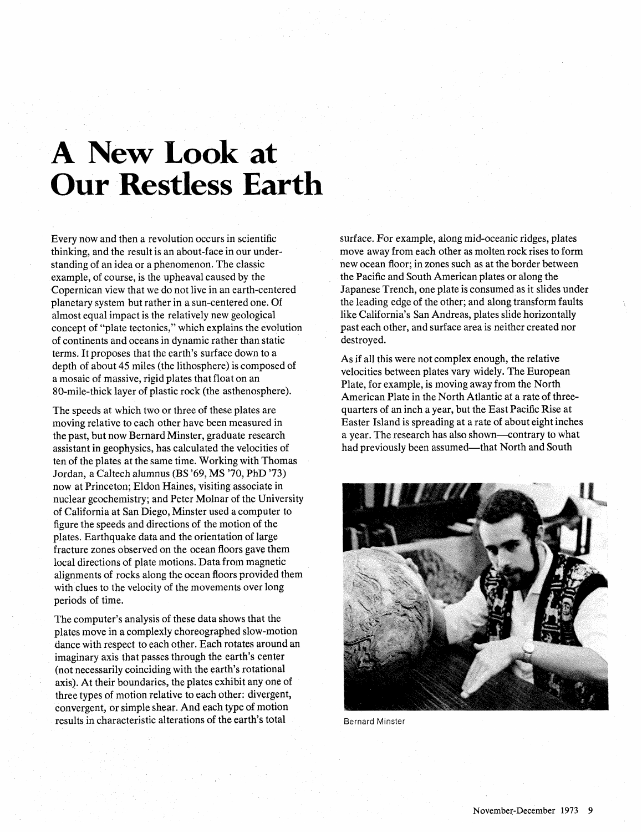## **A New Look at Our Restless Earth**

Every now and then a revolution occurs in scientific thinking, and the result is an about-face in our understanding of an idea or a phenomenon. The classic example, of course, is the upheaval caused by the Copernican view that we do not live in an earth-centered planetary system but rather in a sun-centered one. Of almost equal impact is the relatively new geological concept of "plate tectonics," which explains the evolution of continents and oceans in dynamic rather than static terms. It proposes that the earth's surface down to a depth of about 45 miles (the lithosphere) is composed of a mosaic of massive, rigid plates that float on an 80-mile-thick layer of plastic rock (the asthenosphere).

The speeds at which two or three of these plates are moving relative to each other have been measured in the past, but now Bernard Minster, graduate research assistant in geophysics, has calculated the velocities of ten of the plates at the same time. Working with Thomas Jordan, a Caltech alumnus (BS '69, MS '70, PhD **'73)**  now at Princeton; Eldon Haines, visiting associate in nuclear geochemistry; and Peter Molnar of the University of California at San Diego, Minster used a computer to figure the speeds and directions of the motion of the plates. Earthquake data and the orientation of large fracture zones observed on the ocean floors gave them local directions of plate motions. Data from magnetic alignments of rocks along the ocean floors provided them with clues to the velocity of the movements over long periods of time.

The computer's analysis of these data shows that the plates move in a complexly choreographed slow-motion dance with respect to each other. Each rotates around an imaginary axis that passes through the earth's center (not necessarily coinciding with the earth's rotational axis). At their boundaries, the plates exhibit any one of three types of motion relative to each other: divergent, convergent, or simple shear. And each type of motion results in characteristic alterations of the earth's total Bernard Minster

surface. For example, along mid-oceanic ridges, plates move away from each other as molten rock rises to form new ocean floor; in zones such as at the border between the Pacific and South American plates or along the Japanese Trench, one plate is consumed as it slides under the leading edge of the other; and along transform faults like California's San Andreas, plates slide horizontally past each other, and surface area is neither created nor destroyed.

As if all this were not complex enough, the relative velocities between plates vary widely. The European Plate, for example, is moving away from the North American Plate in the North Atlantic at a rate of threequarters of an inch a year, but the East Pacific Rise at Easter Island is spreading at a rate of about eight inches a year. The research has also shown—contrary to what had previously been assumed—that North and South

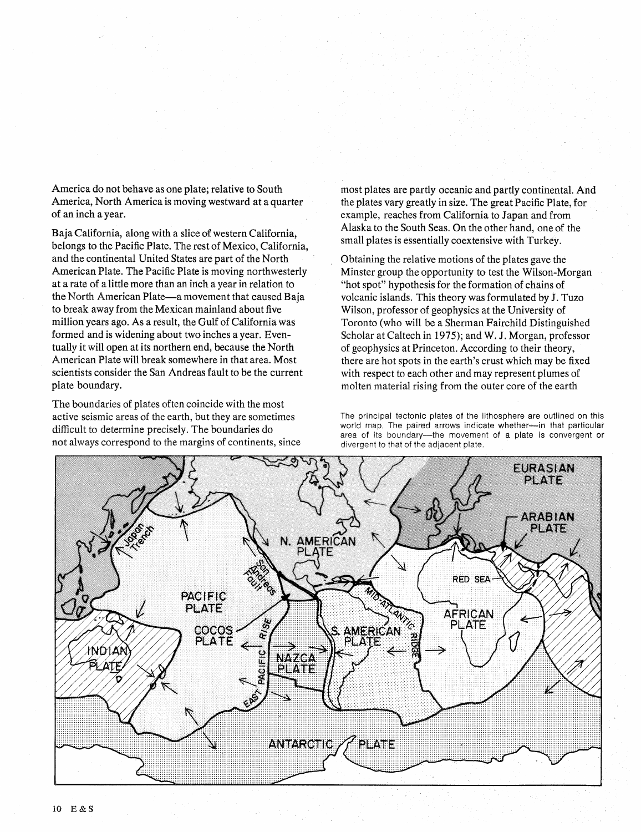America do not behave as one plate; relative to South America, North America is moving westward at a quarter of an inch a year.

Baja California, along with a slice of western California, belongs to the Pacific Plate. The rest of Mexico, California, and the continental United States are part of the North American Plate. The Pacific Plate is moving northwesterly at a rate of a little more than an inch a year in relation to the North American Plate—a movement that caused Baja to break away from the Mexican mainland about five million years ago. As a result, the Gulf of California was formed and is widening about two inches a year. Eventually it will open at its northern end, because the North American Plate will break somewhere in that area. Most scientists consider the San Andreas fault to be the current plate boundary.

The boundaries of plates often coincide with the most active seismic areas of the earth, but they are sometimes difficult to determine precisely. The boundaries do not always correspond to the margins of continents, since most plates are partly oceanic and partly continental. And the plates vary greatly in size. The great Pacific Plate, for example, reaches from California to Japan and from Alaska to the South Seas. On the other hand, one of the small plates is essentially coextensive with Turkey.

Obtaining the relative motions of the plates gave the Minster group the opportunity to test the Wilson-Morgan "hot spot" hypothesis for the formation of chains of volcanic islands. This theory was formulated by J. Tuzo Wilson, professor of geophysics at the University of Toronto (who will be a Sherman Fairchild Distinguished Scholar at Caltech in 1975); and W. J. Morgan, professor of geophysics at Princeton. According to their theory, there are hot spots in the earth's crust which may be fixed with respect to each other and may represent plumes of molten material rising from the outer core of the earth

The principal tectonic plates of the lithosphere are outlined on this world map. The paired arrows indicate whether-in that particular area of its boundary-the movement of a plate is convergent or divergent to that of the adjacent plate,